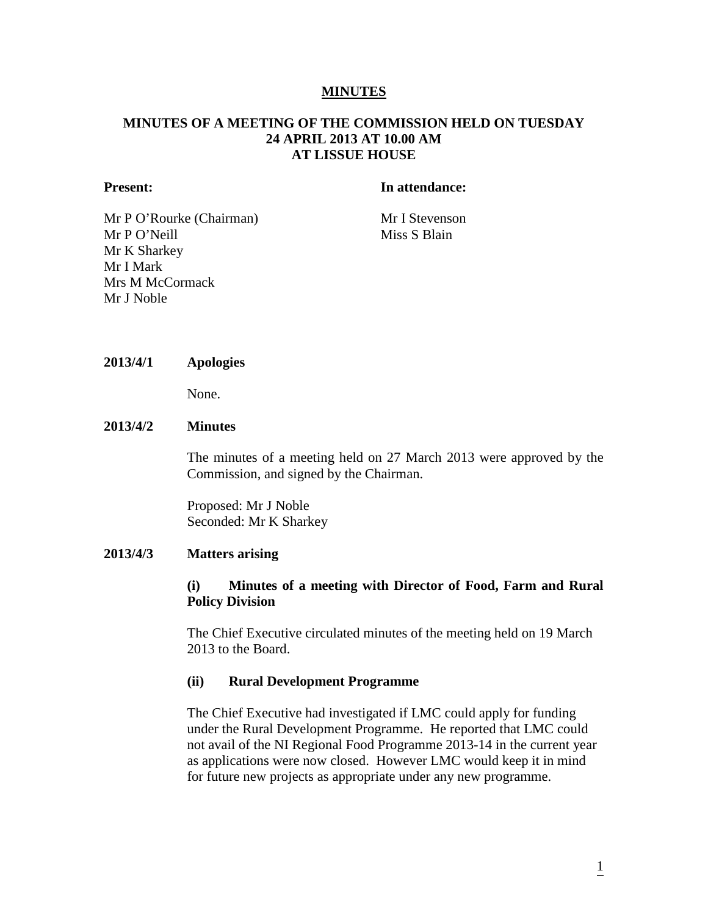#### **MINUTES**

## **MINUTES OF A MEETING OF THE COMMISSION HELD ON TUESDAY 24 APRIL 2013 AT 10.00 AM AT LISSUE HOUSE**

#### **Present: In attendance:**

Mr P O'Rourke (Chairman) Mr I Stevenson Mr P O'Neill Miss S Blain Mr K Sharkey Mr I Mark Mrs M McCormack Mr J Noble

#### **2013/4/1 Apologies**

None.

#### **2013/4/2 Minutes**

The minutes of a meeting held on 27 March 2013 were approved by the Commission, and signed by the Chairman.

Proposed: Mr J Noble Seconded: Mr K Sharkey

#### **2013/4/3 Matters arising**

# **(i) Minutes of a meeting with Director of Food, Farm and Rural Policy Division**

The Chief Executive circulated minutes of the meeting held on 19 March 2013 to the Board.

#### **(ii) Rural Development Programme**

The Chief Executive had investigated if LMC could apply for funding under the Rural Development Programme. He reported that LMC could not avail of the NI Regional Food Programme 2013-14 in the current year as applications were now closed. However LMC would keep it in mind for future new projects as appropriate under any new programme.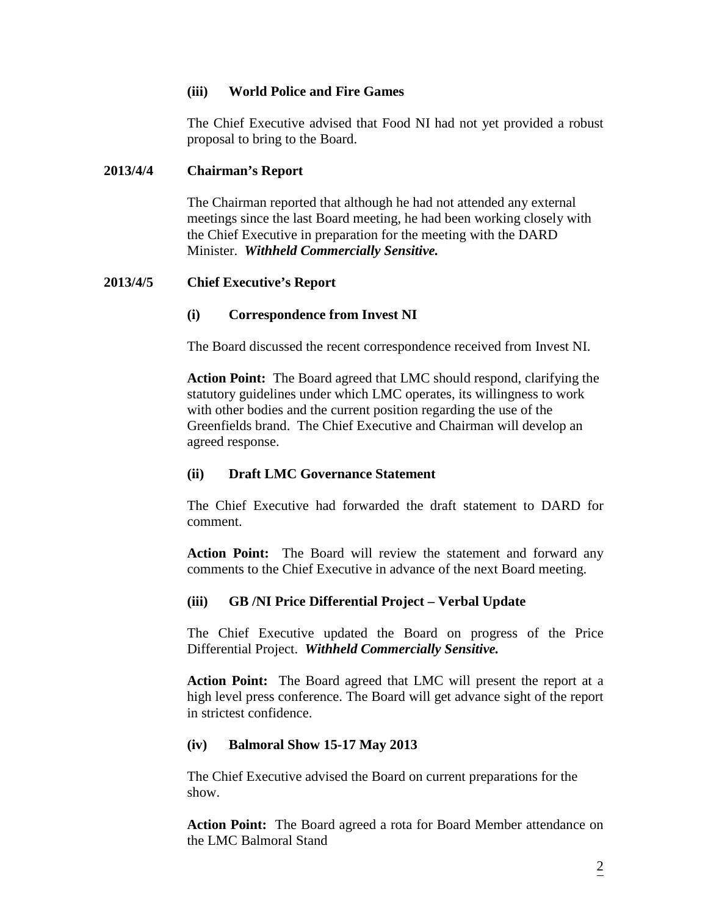# **(iii) World Police and Fire Games**

The Chief Executive advised that Food NI had not yet provided a robust proposal to bring to the Board.

#### **2013/4/4 Chairman's Report**

The Chairman reported that although he had not attended any external meetings since the last Board meeting, he had been working closely with the Chief Executive in preparation for the meeting with the DARD Minister. *Withheld Commercially Sensitive.*

# **2013/4/5 Chief Executive's Report**

#### **(i) Correspondence from Invest NI**

The Board discussed the recent correspondence received from Invest NI.

**Action Point:** The Board agreed that LMC should respond, clarifying the statutory guidelines under which LMC operates, its willingness to work with other bodies and the current position regarding the use of the Greenfields brand. The Chief Executive and Chairman will develop an agreed response.

# **(ii) Draft LMC Governance Statement**

The Chief Executive had forwarded the draft statement to DARD for comment.

**Action Point:** The Board will review the statement and forward any comments to the Chief Executive in advance of the next Board meeting.

# **(iii) GB /NI Price Differential Project – Verbal Update**

The Chief Executive updated the Board on progress of the Price Differential Project. *Withheld Commercially Sensitive.*

**Action Point:** The Board agreed that LMC will present the report at a high level press conference. The Board will get advance sight of the report in strictest confidence.

#### **(iv) Balmoral Show 15-17 May 2013**

The Chief Executive advised the Board on current preparations for the show.

**Action Point:** The Board agreed a rota for Board Member attendance on the LMC Balmoral Stand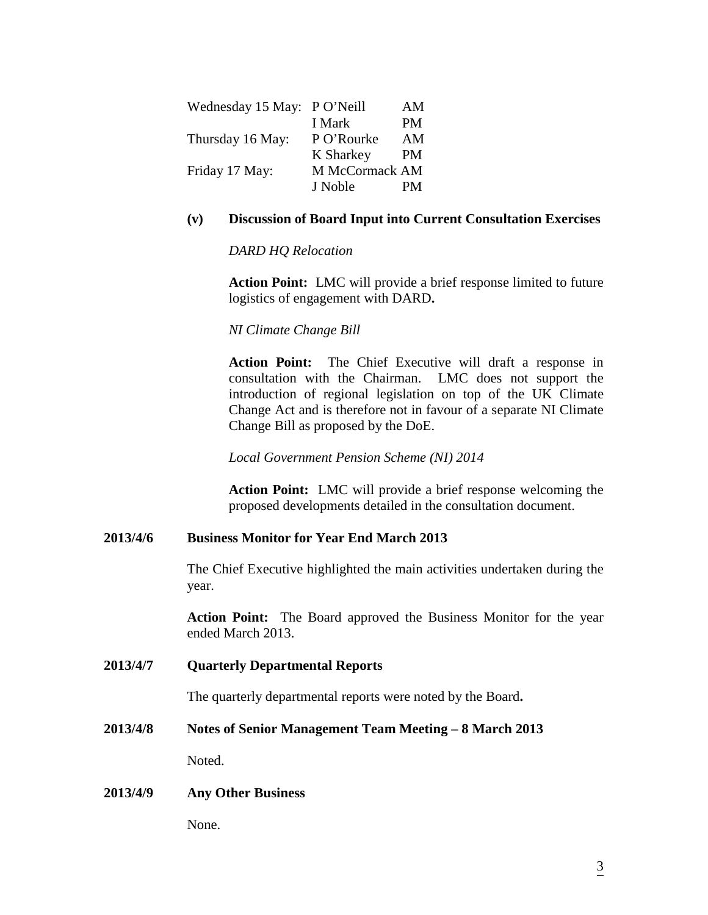| Wednesday 15 May: | P O'Neill      | AM        |
|-------------------|----------------|-----------|
|                   | I Mark         | <b>PM</b> |
| Thursday 16 May:  | P O'Rourke     | AM        |
|                   | K Sharkey      | PM        |
| Friday 17 May:    | M McCormack AM |           |
|                   | J Noble        | PМ        |

# **(v) Discussion of Board Input into Current Consultation Exercises**

*DARD HQ Relocation*

**Action Point:** LMC will provide a brief response limited to future logistics of engagement with DARD**.**

*NI Climate Change Bill*

**Action Point:** The Chief Executive will draft a response in consultation with the Chairman. LMC does not support the introduction of regional legislation on top of the UK Climate Change Act and is therefore not in favour of a separate NI Climate Change Bill as proposed by the DoE.

*Local Government Pension Scheme (NI) 2014*

**Action Point:** LMC will provide a brief response welcoming the proposed developments detailed in the consultation document.

# **2013/4/6 Business Monitor for Year End March 2013**

The Chief Executive highlighted the main activities undertaken during the year.

**Action Point:** The Board approved the Business Monitor for the year ended March 2013.

# **2013/4/7 Quarterly Departmental Reports**

The quarterly departmental reports were noted by the Board**.** 

#### **2013/4/8 Notes of Senior Management Team Meeting – 8 March 2013**

Noted.

#### **2013/4/9 Any Other Business**

None.